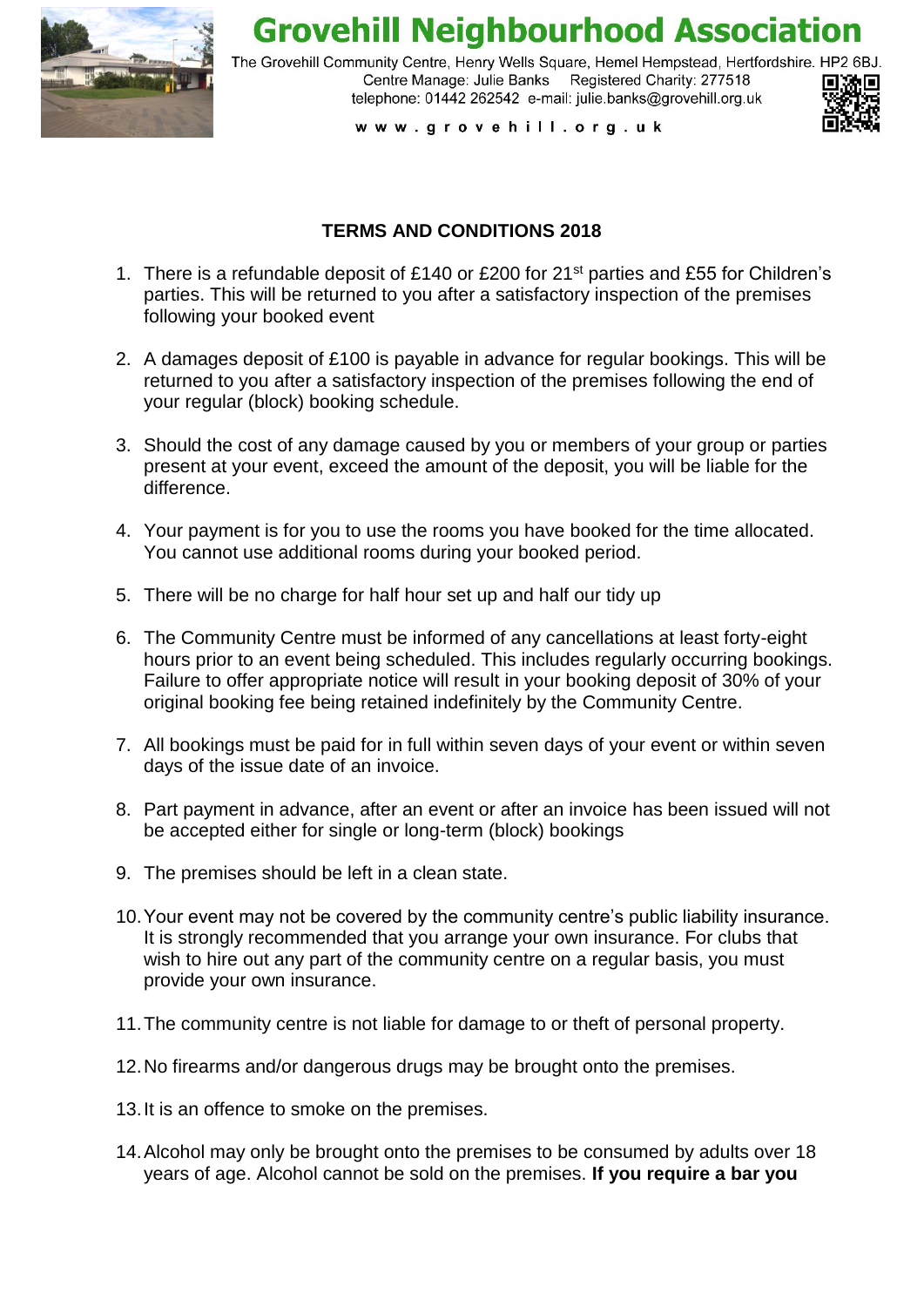

**Grovehill Neighbourhood Association** 

The Grovehill Community Centre, Henry Wells Square, Hemel Hempstead, Hertfordshire, HP2 6BJ. Centre Manage: Julie Banks Registered Charity: 277518 telephone: 01442 262542 e-mail: julie.banks@grovehill.org.uk



www.grovehill.org.uk

## **TERMS AND CONDITIONS 2018**

- 1. There is a refundable deposit of £140 or £200 for 21st parties and £55 for Children's parties. This will be returned to you after a satisfactory inspection of the premises following your booked event
- 2. A damages deposit of £100 is payable in advance for regular bookings. This will be returned to you after a satisfactory inspection of the premises following the end of your regular (block) booking schedule.
- 3. Should the cost of any damage caused by you or members of your group or parties present at your event, exceed the amount of the deposit, you will be liable for the difference.
- 4. Your payment is for you to use the rooms you have booked for the time allocated. You cannot use additional rooms during your booked period.
- 5. There will be no charge for half hour set up and half our tidy up
- 6. The Community Centre must be informed of any cancellations at least forty-eight hours prior to an event being scheduled. This includes regularly occurring bookings. Failure to offer appropriate notice will result in your booking deposit of 30% of your original booking fee being retained indefinitely by the Community Centre.
- 7. All bookings must be paid for in full within seven days of your event or within seven days of the issue date of an invoice.
- 8. Part payment in advance, after an event or after an invoice has been issued will not be accepted either for single or long-term (block) bookings
- 9. The premises should be left in a clean state.
- 10.Your event may not be covered by the community centre's public liability insurance. It is strongly recommended that you arrange your own insurance. For clubs that wish to hire out any part of the community centre on a regular basis, you must provide your own insurance.
- 11.The community centre is not liable for damage to or theft of personal property.
- 12.No firearms and/or dangerous drugs may be brought onto the premises.
- 13.It is an offence to smoke on the premises.
- 14.Alcohol may only be brought onto the premises to be consumed by adults over 18 years of age. Alcohol cannot be sold on the premises. **If you require a bar you**